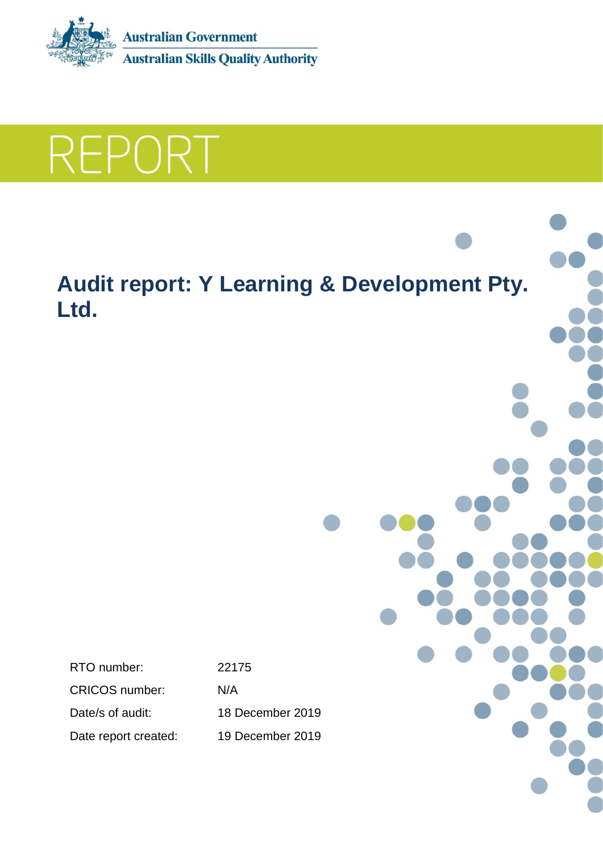

REPORT

# **Audit report: Y Learning & Development Pty. Ltd.**

RTO number: 22175 CRICOS number: N/A Date/s of audit: 18 December 2019

Date report created: 19 December 2019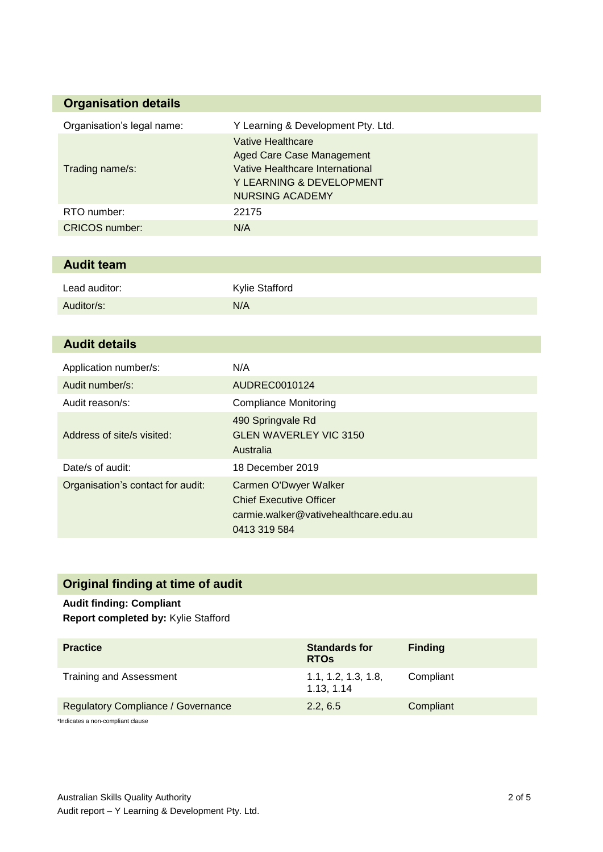### **Organisation details**

| Organisation's legal name: | Y Learning & Development Pty. Ltd.                                                                                                      |
|----------------------------|-----------------------------------------------------------------------------------------------------------------------------------------|
| Trading name/s:            | Vative Healthcare<br>Aged Care Case Management<br>Vative Healthcare International<br>Y LEARNING & DEVELOPMENT<br><b>NURSING ACADEMY</b> |
| RTO number:                | 22175                                                                                                                                   |
| <b>CRICOS</b> number:      | N/A                                                                                                                                     |

#### **Audit team**

| Lead auditor: | <b>Kylie Stafford</b> |
|---------------|-----------------------|
| Auditor/s:    | N/A                   |

| <b>Audit details</b>              |                                                                                                                  |
|-----------------------------------|------------------------------------------------------------------------------------------------------------------|
| Application number/s:             | N/A                                                                                                              |
| Audit number/s:                   | AUDREC0010124                                                                                                    |
| Audit reason/s:                   | <b>Compliance Monitoring</b>                                                                                     |
| Address of site/s visited:        | 490 Springvale Rd<br><b>GLEN WAVERLEY VIC 3150</b><br>Australia                                                  |
| Date/s of audit:                  | 18 December 2019                                                                                                 |
| Organisation's contact for audit: | Carmen O'Dwyer Walker<br><b>Chief Executive Officer</b><br>carmie.walker@vativehealthcare.edu.au<br>0413 319 584 |

## **Original finding at time of audit**

#### **Audit finding: Compliant Report completed by:** Kylie Stafford

| <b>Practice</b>                           | <b>Standards for</b><br><b>RTOs</b> | <b>Finding</b> |
|-------------------------------------------|-------------------------------------|----------------|
| Training and Assessment                   | 1.1, 1.2, 1.3, 1.8,<br>1.13, 1.14   | Compliant      |
| <b>Regulatory Compliance / Governance</b> | 2.2, 6.5                            | Compliant      |
| Indicator a non-compliant clause          |                                     |                |

\*Indicates a non-compliant clause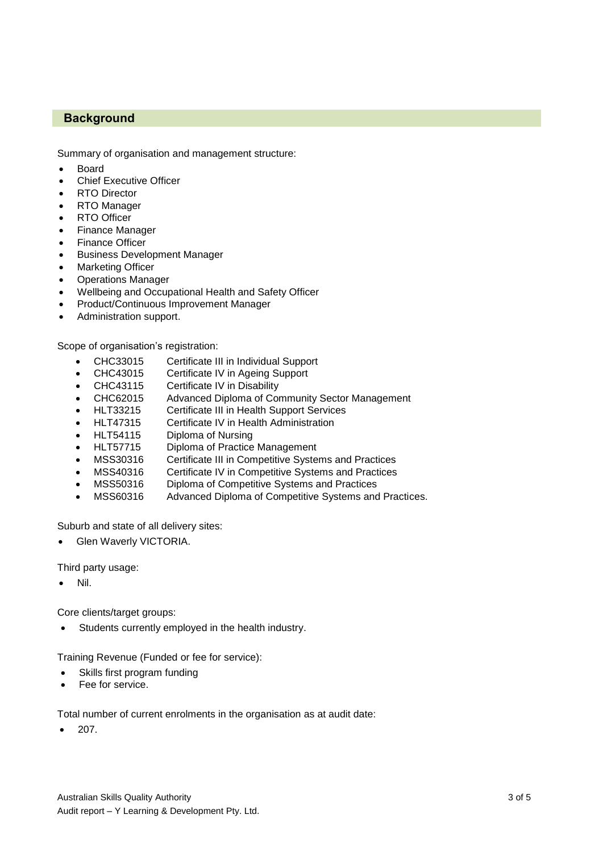#### **Background**

Summary of organisation and management structure:

- Board
- Chief Executive Officer
- RTO Director
- RTO Manager
- RTO Officer
- Finance Manager
- Finance Officer
- Business Development Manager
- Marketing Officer
- Operations Manager
- Wellbeing and Occupational Health and Safety Officer
- Product/Continuous Improvement Manager
- Administration support.

Scope of organisation's registration:

- CHC33015 Certificate III in Individual Support
- CHC43015 Certificate IV in Ageing Support
- CHC43115 Certificate IV in Disability
- CHC62015 Advanced Diploma of Community Sector Management
- HLT33215 Certificate III in Health Support Services
- HLT47315 Certificate IV in Health Administration
- HLT54115 Diploma of Nursing
- HLT57715 Diploma of Practice Management
- MSS30316 Certificate III in Competitive Systems and Practices
- MSS40316 Certificate IV in Competitive Systems and Practices
- MSS50316 Diploma of Competitive Systems and Practices
- MSS60316 Advanced Diploma of Competitive Systems and Practices.

Suburb and state of all delivery sites:

Glen Waverly VICTORIA.

Third party usage:

Nil.

Core clients/target groups:

Students currently employed in the health industry.

Training Revenue (Funded or fee for service):

- Skills first program funding
- Fee for service.

Total number of current enrolments in the organisation as at audit date:

207.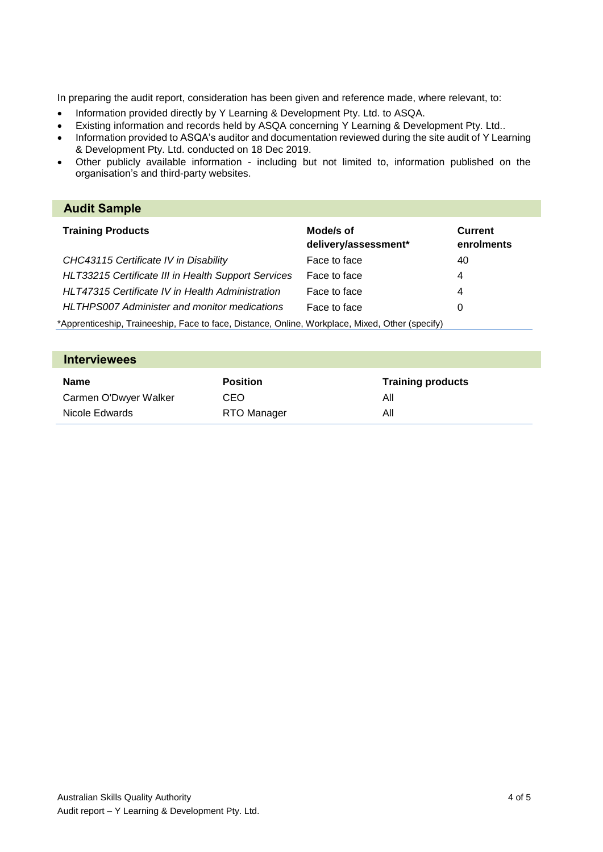In preparing the audit report, consideration has been given and reference made, where relevant, to:

- Information provided directly by Y Learning & Development Pty. Ltd. to ASQA.
- Existing information and records held by ASQA concerning Y Learning & Development Pty. Ltd..
- Information provided to ASQA's auditor and documentation reviewed during the site audit of Y Learning & Development Pty. Ltd. conducted on 18 Dec 2019.
- Other publicly available information including but not limited to, information published on the organisation's and third-party websites.

#### **Audit Sample Training Products Mode/s of delivery/assessment\* Current enrolments** *CHC43115 Certificate IV in Disability* Face to face 40 *HLT33215 Certificate III in Health Support Services* Face to face 4 *HLT47315 Certificate IV in Health Administration* Face to face 4 *HLTHPS007 Administer and monitor medications* Face to face 0 \*Apprenticeship, Traineeship, Face to face, Distance, Online, Workplace, Mixed, Other (specify)

| <b>Interviewees</b>   |                 |                          |
|-----------------------|-----------------|--------------------------|
| Name                  | <b>Position</b> | <b>Training products</b> |
| Carmen O'Dwyer Walker | CEO             | All                      |
| Nicole Edwards        | RTO Manager     | All                      |